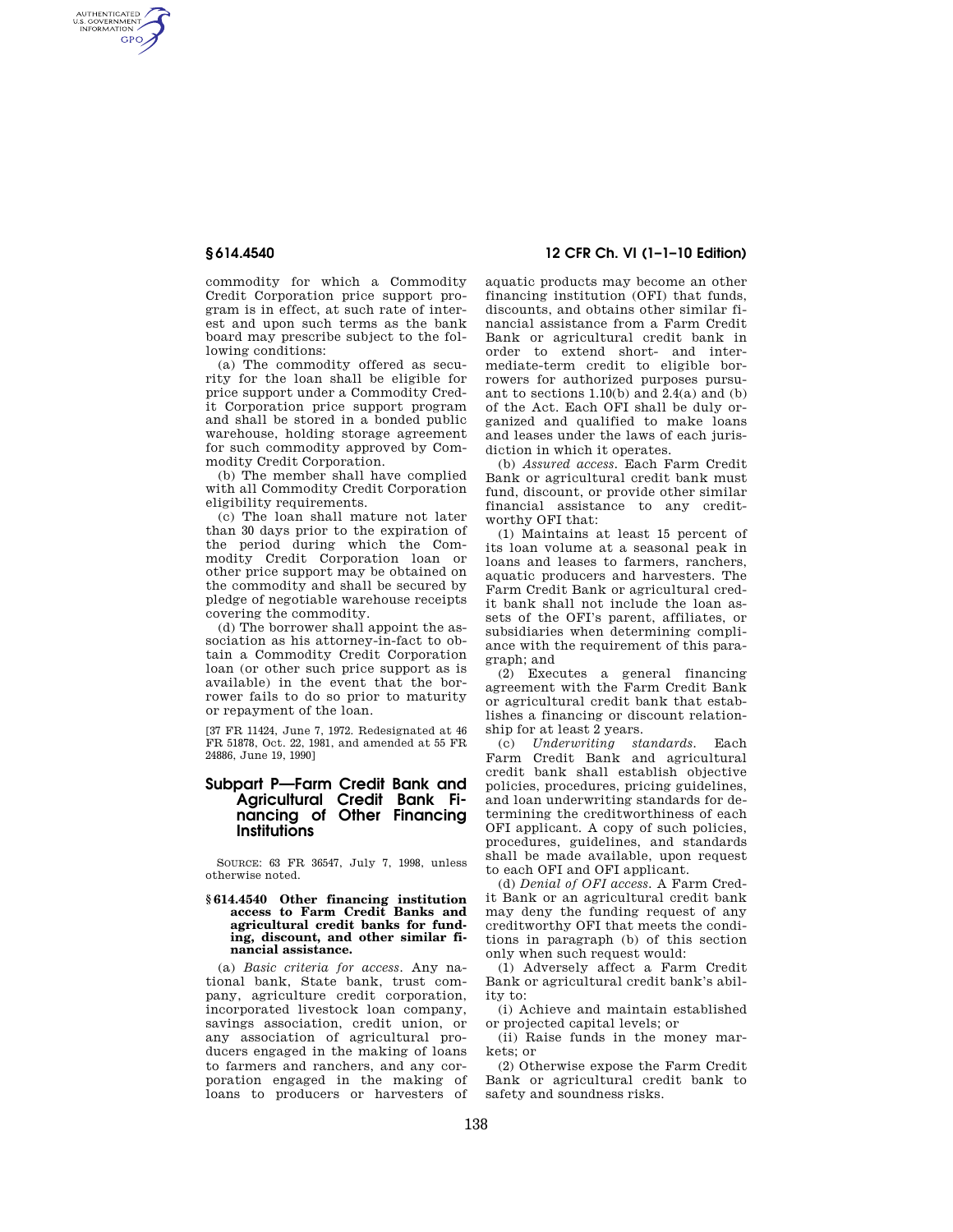AUTHENTICATED<br>U.S. GOVERNMENT<br>INFORMATION **GPO** 

> commodity for which a Commodity Credit Corporation price support program is in effect, at such rate of interest and upon such terms as the bank board may prescribe subject to the following conditions:

> (a) The commodity offered as security for the loan shall be eligible for price support under a Commodity Credit Corporation price support program and shall be stored in a bonded public warehouse, holding storage agreement for such commodity approved by Commodity Credit Corporation.

> (b) The member shall have complied with all Commodity Credit Corporation eligibility requirements.

(c) The loan shall mature not later than 30 days prior to the expiration of the period during which the Commodity Credit Corporation loan or other price support may be obtained on the commodity and shall be secured by pledge of negotiable warehouse receipts covering the commodity.

(d) The borrower shall appoint the association as his attorney-in-fact to obtain a Commodity Credit Corporation loan (or other such price support as is available) in the event that the borrower fails to do so prior to maturity or repayment of the loan.

[37 FR 11424, June 7, 1972. Redesignated at 46 FR 51878, Oct. 22, 1981, and amended at 55 FR 24886, June 19, 1990]

# **Subpart P—Farm Credit Bank and Agricultural Credit Bank Financing of Other Financing Institutions**

SOURCE: 63 FR 36547, July 7, 1998, unless otherwise noted.

#### **§ 614.4540 Other financing institution access to Farm Credit Banks and agricultural credit banks for funding, discount, and other similar financial assistance.**

(a) *Basic criteria for access.* Any national bank, State bank, trust company, agriculture credit corporation, incorporated livestock loan company, savings association, credit union, or any association of agricultural producers engaged in the making of loans to farmers and ranchers, and any corporation engaged in the making of loans to producers or harvesters of

# **§ 614.4540 12 CFR Ch. VI (1–1–10 Edition)**

aquatic products may become an other financing institution (OFI) that funds, discounts, and obtains other similar financial assistance from a Farm Credit Bank or agricultural credit bank in order to extend short- and intermediate-term credit to eligible borrowers for authorized purposes pursuant to sections  $1.10(b)$  and  $2.4(a)$  and  $(b)$ of the Act. Each OFI shall be duly organized and qualified to make loans and leases under the laws of each jurisdiction in which it operates.

(b) *Assured access.* Each Farm Credit Bank or agricultural credit bank must fund, discount, or provide other similar financial assistance to any creditworthy OFI that:

(1) Maintains at least 15 percent of its loan volume at a seasonal peak in loans and leases to farmers, ranchers, aquatic producers and harvesters. The Farm Credit Bank or agricultural credit bank shall not include the loan assets of the OFI's parent, affiliates, or subsidiaries when determining compliance with the requirement of this paragraph; and

(2) Executes a general financing agreement with the Farm Credit Bank or agricultural credit bank that establishes a financing or discount relationship for at least 2 years.

(c) *Underwriting standards.* Each Farm Credit Bank and agricultural credit bank shall establish objective policies, procedures, pricing guidelines, and loan underwriting standards for determining the creditworthiness of each OFI applicant. A copy of such policies, procedures, guidelines, and standards shall be made available, upon request to each OFI and OFI applicant.

(d) *Denial of OFI access.* A Farm Credit Bank or an agricultural credit bank may deny the funding request of any creditworthy OFI that meets the conditions in paragraph (b) of this section only when such request would:

(1) Adversely affect a Farm Credit Bank or agricultural credit bank's ability to:

(i) Achieve and maintain established or projected capital levels; or

(ii) Raise funds in the money markets; or

(2) Otherwise expose the Farm Credit Bank or agricultural credit bank to safety and soundness risks.